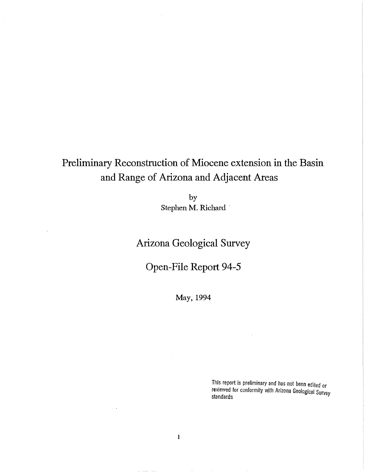# Preliminary Reconstruction of Miocene extension in the Basin and Range of Arizona and Adjacent Areas

by Stephen M. Richard .

# Arizona Geological Survey

Open-File Report 94-5

May, 1994

This report is preliminary and has not been edited or reviewed for conformity with Arizona Geological Surve standards variable variable variable variable variable variable variable variable variable variable variable v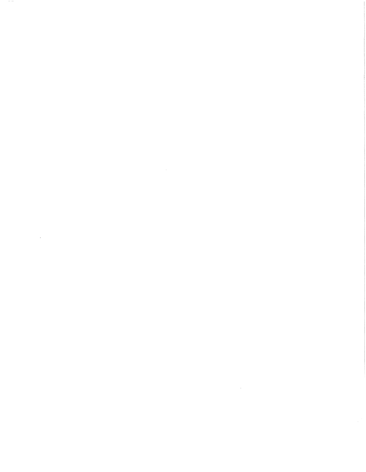$\label{eq:2.1} \mathcal{L}(\mathcal{L}^{\text{c}}_{\text{c}}) = \mathcal{L}(\mathcal{L}^{\text{c}}_{\text{c}}) \mathcal{L}(\mathcal{L}^{\text{c}}_{\text{c}})$  $\label{eq:2.1} \frac{1}{\sqrt{2}}\sum_{i=1}^n\frac{1}{\sqrt{2}}\sum_{i=1}^n\frac{1}{\sqrt{2}}\sum_{i=1}^n\frac{1}{\sqrt{2}}\sum_{i=1}^n\frac{1}{\sqrt{2}}\sum_{i=1}^n\frac{1}{\sqrt{2}}\sum_{i=1}^n\frac{1}{\sqrt{2}}\sum_{i=1}^n\frac{1}{\sqrt{2}}\sum_{i=1}^n\frac{1}{\sqrt{2}}\sum_{i=1}^n\frac{1}{\sqrt{2}}\sum_{i=1}^n\frac{1}{\sqrt{2}}\sum_{i=1}^n\frac$  $\label{eq:2.1} \frac{1}{\sqrt{2}}\left(\frac{1}{\sqrt{2}}\right)^{2} \left(\frac{1}{\sqrt{2}}\right)^{2} \left(\frac{1}{\sqrt{2}}\right)^{2} \left(\frac{1}{\sqrt{2}}\right)^{2} \left(\frac{1}{\sqrt{2}}\right)^{2} \left(\frac{1}{\sqrt{2}}\right)^{2} \left(\frac{1}{\sqrt{2}}\right)^{2} \left(\frac{1}{\sqrt{2}}\right)^{2} \left(\frac{1}{\sqrt{2}}\right)^{2} \left(\frac{1}{\sqrt{2}}\right)^{2} \left(\frac{1}{\sqrt{2}}\right)^{2} \left(\$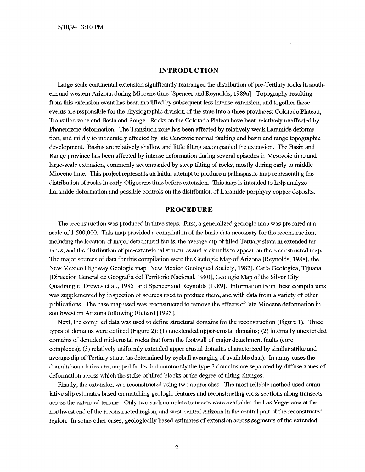#### **INTRODUCTION**

Large-scale continental extension significantly rearranged the distribution of pre-Tertiary rocks in southern and western Arizona during Miocene time [Spencer and Reynolds, 1989a]. Topography resulting from this extension event has been modified by subsequent less intense extension, and together these events are responsible for the physiographic division of the state into a three provinces: Colorado Plateau, Transition zone and Basin and Range. Rocks on the Colorado Plateau have been relatively unaffected by Phanerozoic deformation. The Transition zone has been affected by relatively weak Laramide deformation, and mildly to moderately affected by late Cenozoic normal faulting and basin and range topographic development. Basins are relatively shallow and little tilting accompanied the extension. The Basin and Range province has been affected by intense deformation during several episodes in Mesozoic time and large-scale extension, commonly accompanied by steep tilting of rocks, mostly during early to middle Miocene time. This project represents an initial attempt to produce a palinspastic map representing the distribution of rocks in early Oligocene time before extension. This map is intended to help analyze Laramide deformation and possible controls on the distribution of Laramide porphyry copper deposits.

### **PROCEDURE**

The reconstruction was produced in three steps. First, a generalized geologic map was prepared at a scale of 1 :500,000. This map provided a compilation of the basic data necessary for the reconstruction, including the location of major detachment faults, the average dip of tilted Tertiary strata in extended terranes, and the distribution of pre-extensional structures and rock units to appear on the reconstructed map. The major sources of data for this compilation were the Geologic Map of Arizona [Reynolds, 1988], the New Mexico Highway Geologic map [New Mexico Geological Society, 1982], Carta Geologica, Tijuana [Direccion General de Geografia del Territorio Nacional, 1980], Geologic Map of the Silver City Quadrangle [Drewes et aI., 1985] and Spencer and Reynolds [1989]. Information from these compilations was supplemented by inspection of sources used to produce them, and with data from a variety of other publications. The base map used was reconstructed to remove the effects of late Miocene deformation in southwestern Arizona following Richard [1993].

Next, the compiled data was used to defme structural domains for the reconstruction (Figure 1). Three types of domains were defined (Figure 2): (1) unextended upper-crustal domains; (2) internally unextended domains of denuded mid-crustal rocks that form the footwall of major detachment faults (core complexes); (3) relatively unifonnly extended upper crustal domains characterized by similar strike and average dip of Tertiary strata (as determined by eyeball averaging of available data). In many cases the domain boundaries are mapped faults, but commonly the type 3 domains are separated by diffuse zones of deformation across which the strike of tilted blocks or the degree of tilting changes.

Finally, the extension was reconstructed using two approaches. The most reliable method used cumulative slip estimates based on matching geologic features and reconstructing cross sections along transects across the extended terrane. Only two such complete transects were avail able: the Las Vegas area at the northwest end of the reconstructed region, and west-central Arizona in the central part of the reconstructed region. In some other cases, geologically based estimates of extension across segments of the extended

2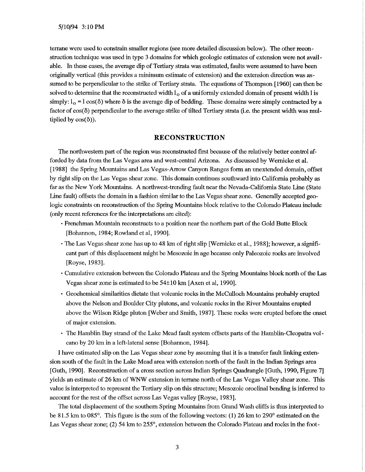terrane were used to constrain smaller regions (see more detailed discussion below). The other reconstruction technique was used in type 3 domains for which geologic estimates of extension were not available. In these cases, the average dip of Tertiary strata was estimated, faults were assumed to have been originally vertical (this provides a minimum estimate of extension) and the extension direction was assumed to be perpendicular to the strike of Tertiary strata. The equations of Thompson [1960] can then be solved to determine that the reconstructed width  $1<sub>o</sub>$  of a uniformly extended domain of present width 1 is simply:  $l_0 = l \cos(\delta)$  where  $\delta$  is the average dip of bedding. These domains were simply contracted by a factor of cos( $\delta$ ) perpendicular to the average strike of tilted Tertiary strata (i.e. the present width was multiplied by  $cos(\delta)$ ).

# **RECONSTRUCTION**

The northwestern part of the region was reconstructed first because of the relatively better control afforded by data from the Las Vegas area and west-central Arizona. As discussed by Wernicke et al. [1988] the Spring Mountains and Las Vegas-Arrow Canyon Ranges form an unextended domain, offset by right slip on the Las Vegas shear zone. This domain continues southward into California probably as far as the New York Mountains. A northwest-trending fault near the Nevada-California State Line (State Line fault) offsets the domain in a fashion similar to the Las Vegas shear zone. Generally accepted geologic constraints on reconstruction of the Spring Mountains block relative to the Colorado Plateau include (only recent references for the interpretations are cited):

- Frenchman Mountain reconstructs to a position near the northern part of the Gold Butte Block [Bohannon, 1984; Rowland et aI, 1990].
- The Las Vegas shear zone has up to 48 km of right slip [Wernicke et aI., 1988]; however, a significant part of this displacement might be Mesozoic in age because only Paleozoic rocks are involved [Royse, 1983].
- Cumulative extension between the Colorado Plateau and the Spring Mountains block north of the Las Vegas shear zone is estimated to be 54±10 km [Axen et aI, 1990].
- Geochemical similarities dictate that volcanic rocks in the McCulloch Mountains probably erupted above the Nelson and Boulder City plutons, and volcanic rocks in the River Mountains erupted above the Wilson Ridge pluton [Weber and Smith, 1987]. These rocks were erupted before the onset of major extension.
- The Hamblin Bay strand of the Lake Mead fault system offsets parts of the Hamblin-Cleopatra volcano by 20 km in a left-lateral sense [Bohannon, 1984].

I have estimated slip on the Las Vegas shear zone by assuming that it is a transfer fault linking extension south of the fault in the Lake Mead area with extension north of the fault in the Indian Springs area [Guth, 1990]. Reconstruction of a cross section across Indian Springs Quadrangle [Guth, 1990, Figure 7] yields an estimate of 26 km of WNW extension in terrane north of the Las Vegas Valley shear zone. This value is interpreted to represent the Tertiary slip on this structure; Mesozoic oroclinal bending is inferred to account for the rest of the offset across Las Vegas valley [Royse, 1983].

The total displacement of the southern Spring Mountains from Grand Wash cliffs is thus interpreted to be 81.5 km to 085°. This figure is the sum of the following vectors: (1) 26 km to 290° estimated on the Las Vegas shear zone; (2) 54 km to 255°, extension between the Colorado Plateau and rocks in the foot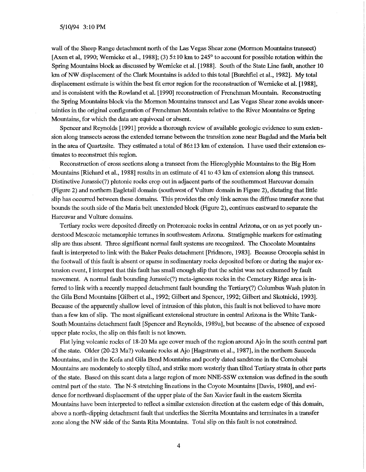wall of the Sheep Range detachment north of the Las Vegas Shear zone (Mormon Mountains transect) [Axen et al, 1990; Wernicke et al., 1988]; (3)  $5\pm10$  km to 245<sup>o</sup> to account for possible rotation within the Spring Mountains block as discussed by Wernicke et aI. [1988]. South of the State Line fault, another 10 km of NW displacement of the Clark Mountains is added to this total [Burchfiel et aI., 1982]. My total displacement estimate is within the best fit error region for the reconstruction of Wernicke et ai. [1988], and is consistent with the Rowland et ai. [1990] reconstruction of Frenchman Mountain. Reconstructing the Spring Mountains block via the Mormon Mountains transect and Las Vegas Shear zone avoids uncertainties in the original configuration of Frenchman Mountain relative to the River Mountains or Spring Mountains, for which the data are equivocal or absent.

Spencer and Reynolds [1991] provide a thorough review of available geologic evidence to sum extension along transects across the extended terrane between the transition zone near Bagdad and the Maria belt in the area of Quartzsite. They estimated a total of 86± 13 km of extension. I have used their extension estimates to reconstruct this region.

Reconstruction of cross sections along a transect from the Hieroglyphic Mountains to the Big Hom Mountains [Richard et at, 1988] results in an estimate of 41 to 43 km of extension along this transect. Distinctive Jurassic(?) plutonic rocks crop out in adjacent parts of the southernmost Harcuvar domain (Figure 2) and northern Eagletail domain (southwest of Vulture domain in Figure 2), dictating that little slip has occurred between these domains. This provides the only link across the diffuse transfer zone that bounds the south side of the Maria belt unextended block (Figure 2), continues eastward to separate the Harcuvar and Vulture domains.

Tertiary rocks were deposited directly on Proterozoic rocks in central Arizona, or on as yet poorly understood Mesozoic metamorphic terranes in southwestern Arizona. Stratigraphic markets for estimating slip are thus absent. Three significant normal fault systems are recognized. The Chocolate Mountains fault is interpreted to link with the Baker Peaks detachment [Pridmore, 1983]. Because Orocopia schist in the footwall of this fault is absent or sparse in sedimentary rocks deposited before or during the major extension event, I interpret that this fault has small enough slip that the schist was not exhumed by fault movement. A normal fault bounding Jurassic(?) meta-igneous rocks in the Cemetary Ridge area is inferred to link with a recently mapped detachment fault bounding the Tertiary(?) Columbus Wash pluton in the Gila Bend Mountains [Gilbert et aI., 1992; Gilbert and Spencer, 1992; Gilbert and Skotnicki, 1993]. Because of the apparently shallow level of intrusion of this pluton, this fault is not believed to have more than a few km of slip. The most significant extensional structure in central Arizona is the White Tank-South Mountains detachment fault [Spencer and Reynolds, 1989a], but because of the absence of exposed upper plate rocks, the slip on this fault is not known.

Flat lying volcanic rocks of 18-20 Ma age cover much of the region around Ajo in the south central part of the state. Older (20-23 Ma?) volcanic rocks at Ajo [Hagstrum et aI., 1987], in the northern Sauceda Mountains, and in the Kofa and Gila Bend Mountains and poorly dated sandstone in the Comobabi Mountains are moderately to steeply tilted, and strike more westerly than tilted Tertiary strata in other parts of the state. Based on this scant data a large region of more NNE-SSW extension was defined in the south central part of the state. The N-S stretching lineations in the Coyote Mountains [Davis, 1980], and evidence for northward displacement of the upper plate of the San Xavier fault in the eastern Sierrita Mountains have been interpreted to reflect a similar extension direction at the eastern edge of this domain, above a north-dipping detachment fault that underlies the Sierrita Mountains and terminates in a transfer zone along the NW side of the Santa Rita Mountains. Total slip on this fault is not constrained.

4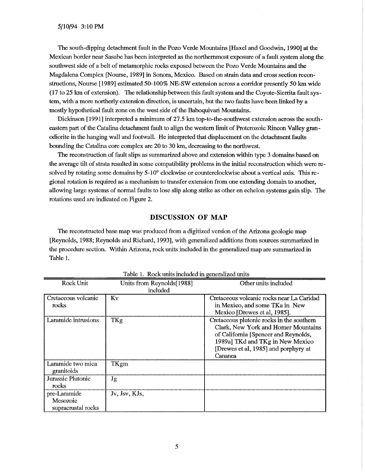The south-dipping detachment fault in the Pozo Verde Mountains [Haxel and Goodwin, 1990] at the Mexican border near Sasabe has been interpreted as the northernmost exposure of a fault system along the southwest side of a belt of metamorphic rocks exposed between the Pozo Verde Mountains and the Magdalena Complex [Nourse, 1989] in Sonora, Mexico. Based on strain data and cross section reconstructions, Nourse [1989] estimated 50-100% NE-SW extension across a corridor presently 50 km wide (17 to 25 km of extension). The relationship between this fault system and the Coyote-Sierrita fault system, with a more northerly extension direction, is uncertain, but the two faults have been linked by a mostly hypothetical fault zone on the west side of the Baboquivari Mountains.

Dickinson [1991] interpreted a minimum of 27.5 km top-to-the-southwest extension across the southeastern part of the Catalina detachment fault to align the western limit of Proterozoic Rincon Valley granodiorite in the hanging wall and footwall. He interpreted that displacement on the detachment faults bounding the Catalina core complex are 20 to 30 km, decreasing to the northwest.

The reconstruction of fault slips as summarized above and extension within type 3 domains based on the average tilt of strata resulted in some compatibility problems in the initial reconstruction which were resolved by rotating some domains by 5-10° clockwise or counterclockwise about a vertical axis. This regional rotation is required as a mechanism to transfer extension from one extending domain to another, allowing large systems of normal faults to lose slip along strike as other en echelon systems gain slip. The rotations used are indicated on Figure 2.

# **DISCUSSION OF MAP**

The reconstructed base map was produced from a digitized version of the Arizona geologic map [Reynolds, 1988; Reynolds and Richard, 1993], with generalized additions from sources summarized in the procedure section. Within Arizona, rock units included in the generalized map are summarized in Table 1.

| Rock Unit           | Units from Reynolds[1988] | Other units included                      |
|---------------------|---------------------------|-------------------------------------------|
|                     | included                  |                                           |
| Cretaceous volcanic | Kv                        | Cretaceous volcanic rocks near La Caridad |
| rocks               |                           | in Mexico, and some TKa in New            |
|                     |                           | Mexico [Drewes et al, 1985].              |
| Laramide intrusions | TKg                       | Cretaceous plutonic rocks in the southern |
|                     |                           | Clark, New York and Homer Mountains       |
|                     |                           | of California [Spencer and Reynolds,      |
|                     |                           | 1989a] TKd and TKg in New Mexico          |
|                     |                           | [Drewes et al, 1985] and porphyry at      |
|                     |                           | Cananea                                   |
| Laramide two mica   | TKgm                      |                                           |
| granitoids          |                           |                                           |
| Jurassic Plutonic   | Jg                        |                                           |
| rocks               |                           |                                           |
| pre-Laramide        | Jv. Jsv. KJs.             |                                           |
| Mesozoic            |                           |                                           |
| supracrustal rocks  |                           |                                           |

Table 1. Rock units included in generalized units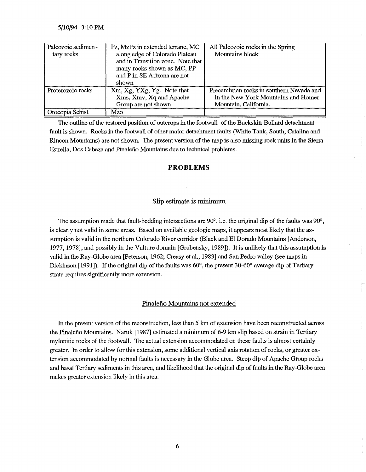| Paleozoic sedimen-<br>tary rocks | Pz, MzPz in extended terrane, MC<br>along edge of Colorado Plateau<br>and in Transition zone. Note that<br>many rocks shown as MC, PP<br>and P in SE Arizona are not<br>shown | All Paleozoic rocks in the Spring<br>Mountains block                                                     |
|----------------------------------|-------------------------------------------------------------------------------------------------------------------------------------------------------------------------------|----------------------------------------------------------------------------------------------------------|
| Proterozoic rocks                | Xm, Xg, YXg, Yg. Note that<br>Xms, Xmv, Xq and Apache<br>Group are not shown                                                                                                  | Precambrian rocks in southern Nevada and<br>in the New York Mountains and Homer<br>Mountain, California. |
| Orocopia Schist                  | Mzo                                                                                                                                                                           |                                                                                                          |

The outline of the restored position of outcrops in the footwall of the Buckskin-Bullard detachment fault is shown. Rocks in the footwall of other major detachment faults (White Tank, South, Catalina and Rincon Mountains) are not shown. The present version of the map is also missing rock units in the Sierra Estrella, Dos Cabeza and Pinaleño Mountains due to technical problems.

## **PROBLEMS**

#### Slip estimate is minimum

The assumption made that fault-bedding intersections are  $90^{\circ}$ , i.e. the original dip of the faults was  $90^{\circ}$ , is clearly not valid in some areas. Based on available geologic maps, it appears most likely that the assumption is valid in the northern Colorado River corridor (Black and EI Dorado Mountains [Anderson, 1977,1978], and possibly in the Vulture domain [Grubensky, 1989]). It is unlikely that this assumption is valid in the Ray-Globe area [peterson, 1962; Creasy et aI., 1983] and San Pedro valley (see maps in Dickinson [1991]). If the original dip of the faults was 60°, the present 30-60° average dip of Tertiary strata requires significantly more extension.

# Pinalefio Mountains not extended

In the present version of the reconstruction, less than 5 km of extension have been reconstructed across the Pinaleño Mountains. Naruk [1987] estimated a minimum of 6-9 km slip based on strain in Tertiary mylonitic rocks of the footwall. The actual extension accommodated on these faults is almost certainly greater. In order to allow for this extension, some additional vertical axis rotation of rocks, or greater extension accommodated by normal faults is necessary in the Globe area. Steep dip of Apache Group rocks and basal Tertiary sediments in this area, and likelihood that the original dip of faults in the Ray-Globe area makes greater extension likely in this area.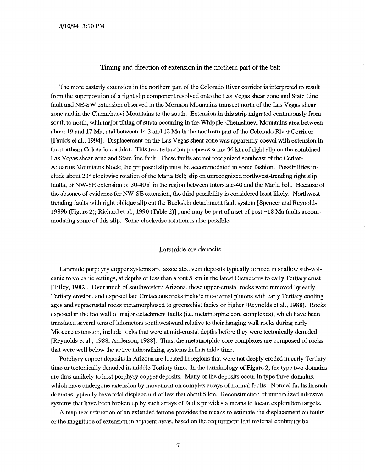#### Timing and direction of extension in the northern part of the belt

The more easterly extension in the northern part of the Colorado River corridor is interpreted to result from the superposition of a right slip component resolved onto the Las Vegas shear zone and State line fault and NE-SW extension observed in the Mormon Mountains transect north of the Las Vegas shear zone and in the Chemehuevi Mountains to the south. Extension in this strip migrated continuously from south to north, with major tilting of strata occurring in the Whipple-Chemehuevi Mountains area between about 19 and 17 Ma, and between 14.3 and 12 Ma in the northern part of the Colorado River Corridor [Faulds et aI., 1994]. Displacement on the Las Vegas shear zone was apparently coeval with extension in the northern Colorado corridor. This reconstruction proposes some 36 km of right slip on the combined Las Vegas shear zone and State line fault. These faults are not recognized southeast of the Cerbat-Aquarius Mountains block; the proposed slip must be accommodated in some fashion. Possibilities include about 200 clockwise rotation of the Maria Belt; slip on unrecognized northwest-trending right slip faults, or NW -SE extension of 30-40% in the region between Interstate-40 and the Maria belt. Because of the absence of evidence for NW-SE extension, the third possibility is considered least likely. Northwesttrending faults with right oblique slip cut the Buckskin detachment fault system [Spencer and Reynolds, 1989b (Figure 2); Richard et al., 1990 (Table 2)], and may be part of a set of post  $\sim$  18 Ma faults accommodating some of this slip. Some clockwise rotation is also possible.

#### Laramide ore deposits

Laramide porphyry copper systems and associated vein deposits typically formed in shallow sub-volcanic to volcanic settings, at depths of less than about 5 km in the latest Cretaceous to early Tertiary crust [Titley, 1982]. Over much of southwestern Arizona, these upper-crustal rocks were removed by early Tertiary erosion, and exposed late Cretaceous rocks include mesozonal plutons with early Tertiary cooling ages and supracrustal rocks metamorphosed to greenschist facies or higher [Reynolds et aI., 1988]. Rocks exposed in the footwall of major detachment faults (i.e. metamorphic core complexes), which have been translated several tens of kilometers southwestward relative to their hanging wall rocks during early Miocene extension, include rocks that were at mid-crustal depths before they were tectonically denuded [Reynolds et aI., 1988; Anderson, 1988]. Thus, the metamorphic core complexes are composed of rocks that were well below the active mineralizing systems in Laramide time.

Porphyry copper deposits in Arizona are located in regions that were not deeply eroded in early Tertiary time or tectonically denuded in middle Tertiary time. In the terminology of Figure 2, the type two domains are thus unlikely to host porphyry copper deposits. Many of the deposits occur in type three domains, which have undergone extension by movement on complex arrays of normal faults. Normal faults in such domains typically have total displacemnt of less that about 5 km. Reconstruction of mineralized intrusive systems that have been broken up by such arrays of faults provides a means to locate exploration targets.

A map reconstruction of an extended terrane provides the means to estimate the displacement on faults or the magnitude of extension in adjacent areas, based on the requirement that material continuity be

7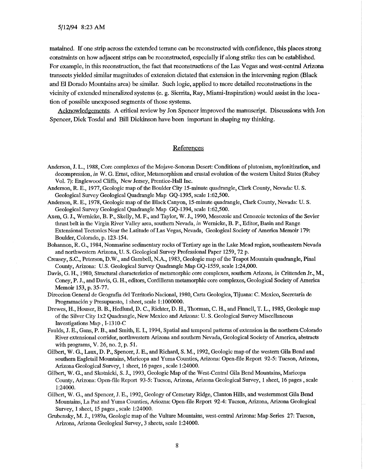matained. If one strip across the extended terrane can be reconstructed with confidence, this places strong constraints on how adjacent strips can be reconstructed, especially if along strike ties can be established. For example, in this reconstruction, the fact that reconstructions of the Las Vegas and west-central Arizona transects yielded similar magnitudes of extension dictated that extension in the intervening region (Black and El Dorado Mountains area) be similar. Such logic, applied to more detailed reconstructions in the vicinity of extended mineralized systems (e. g. Sierrita, Ray, Miami-Inspiration) would assistin the location of possible unexposed segments of those systems.

Acknowledgements. A critical review by Jon Spencer improved the manuscript. Discussions with Jon Spencer, Dick Tosdal and Bill Dickinson have been important in shaping my thinking.

### **References**

- Anderson, J. L., 1988, Core complexes of the Mojave-Sonoran Desert: Conditions of plutonism, mylonitization, and decompression, *in* W. G. Ernst, editor, Metamorphism and crustal evolution of the western United States (Rubey Vol. 7): Englewood Cliffs, New Jersey, Prentice-Hall Inc.
- Anderson, R. E., 1977, Geologic map of the Boulder City 15-minute quadrangle, Clark County, Nevada: U. S. Geological Survey Geological Quadrangle Map GQ-1395, scale 1:62,500.
- Anderson, R. E., 1978, Geologic map of the Black Canyon, 15-minute quadrangle, Clark County, Nevada: U. S. Geological Survey Geological Quadrangle Map GQ-1394, scale 1:62,500.
- Axen, G. J., Wernicke, B. P., Skelly, M. F., and Taylor, W. J., 1990, Mesozoic and Cenozoic tectonics of the Sevier thrust belt in the Virgin River VaIley area, southern Nevada, *in* Wernicke, B. P., Editor, Basin and Range Extensional Tectonics Near the Latitude of Las Vegas, Nevada, Geological Society of America Memoir 179: Boulder, Colorado, p. 123-154.
- Bohannon, R. G., 1984, Nonmarine sedimentary rocks of Tertiary age in the Lake Mead region, southeastern Nevada and northwestern Arizona, U. S. Geological Survey Professional Paper 1259, 72 p.
- Creasey, S.C., Peterson, D.W., and Gambell, N.A., 1983, Geologic map of the Teapot Mountain quadrangle, Pinal County, Arizona: U.S. Geological Survey Quadrangle Map GQ-1559, scale 1:24,000.
- Davis, G. H., 1980, Structural characteristics of metamorphic core complexes, southern Arizona, *in* Crittenden Jr., M., Coney, P. J., and Davis, G. H., editors, Cordilleran metamorphic core complexes, Geological Society of America Memoir 153, p. 35-77.
- Direccion General de Geografia del Territorio Nacional, 1980, Carta Geologica, Tijuana: C. Mexico, Secretaria de Programacion y Presupuesto, 1 sheet, scale 1:1000000.
- Drewes, H., Houser, B. B., Hedlund, D. c., Richter, D. H., Thorman, C. H., and Finnell, T. L., 1985, Geologic map of the Silver City lx2 Quadrangle, New Mexico and Arizona: U. S. Geological Survey Miscellaneous Investigations Map, I-13lO-C
- Faulds, J. E., Gans, P. B., and Smith, E. I., 1994, Spatial and temporal patterns of extension in the northern Colorado River extensional corridor, northwestern Arizona and southern Nevada, Geological Society of America, abstracts with programs, V. 26, no. 2, p. 51.
- Gilbert, W. G., Laux, D. P., Spencer, J. E., and Richard, S. M., 1992, Geologic map of the western Gila Bend and southern Eagletail Mountains, Maricopa and Yuma Counties, Arizona: Open-file Report 92-5: Tucson, Arizona, Arizona Geological Survey, 1 sheet, 16 pages, scale 1:24000.
- Gilbert, W. G., and Skotnicki, S. J., 1993, Geologic Map of the West-Central Gila Bend Mountains, Maricopa County, Arizona: Open-file Report 93-5: Tucson, Arizona, Arizona Geological Survey, 1 sheet, 16 pages, scale 1:24000.
- Gilbert, W. G., and Spencer, J. E., 1992, Geology of Cemetary Ridge, Clanton Hills, and westernmost Gila Bend Mountains, La Paz and Yuma COlmties, Ariozna: Open-file Report 92-4: Tucson, Arizona, Arizona Geological Survey, 1 sheet, 15 pages, scale 1:24000.
- Grubensky, M. J., 1989a, Geologic map of the Vulture Mountains, west-central Arizona: Map Series 27: Tucson, Arizona, Arizona Geological Survey, 3 sheets, scale 1:24000.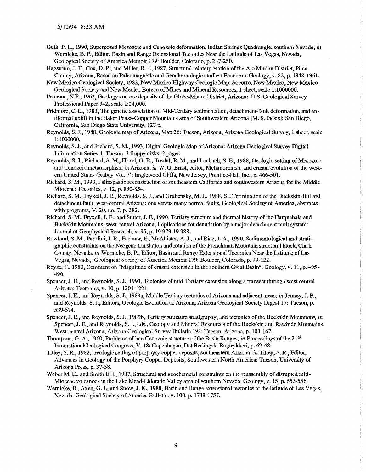- Guth, P. L., 1990, Superposed Mesozoic and Cenozoic defonnation, Indian Springs Quadrangle, southern Nevada, *in*  Wernicke, B. P., Editor, Basin and Range Extensional Tectonics Near the Latitude of Las Vegas, Nevada, Geological Society of America Memoir 179: Boulder, Colorado, p. 237-250.
- Hagstrum, J. T., Cox, D. P., and Miller, R J., 1987, Structural reinterpretation of the Ajo Mining District, Pima County, Arizona, Based on Paleomagnetic and Geochronologic studies: Economic Geology, v. 82, p. 1348-1361.
- New Mexico Geological Society, 1982, New Mexico Highway Geologic Map: Socorro, New Mexico, New Mexico Geological Society and New Mexico Bureau of Mines and Mineral Resources, 1 sheet, scale 1: 1000000.
- Peterson, N.P., 1962, Geology and ore deposits of the Globe-Miami District, Arizona: U.S. Geological Survey Professional Paper 342, scale 1:24,000.
- Pridmore, C. L., 1983, The genetic association of Mid-Tertiary sedimentation, detachment-fault defonnation, and antifonnal uplift in the Baker Peaks-Copper Mountains area of Southwestern Arizona [M. S. thesis]: San Diego, California, SanDiego State University, 127 p.
- Reynolds, S. J., 1988, Geologic map of Arizona, Map 26: Tucson, Arizona, Arizona Geological Survey, 1 sheet, scale 1:1000000.
- Reynolds, S. J., and Richard, S. M., 1993, Digital Geologic Map of Arizona: Arizona Geological Survey Digital Information Series 1, Tucson, 2 floppy disks, 2 pages.
- Reynolds, S. J., Richard, S. M., Haxel, G. B., Tosdal, R M., and Laubach, S. E., 1988, Geologic setting of Mesozoic and Cenozoic metamorphism in Arizona, *in* W. G. Ernst, editor, Metamorphism and crustal evolution of the western United States (Rubey Vol. 7): Englewood Cliffs, New Jersey, Prentice-Hall Inc., p. 466-501.
- Richard, S. M., 1993, Palinspastic reconstruction of southeastern California and southwestern Arizona for the Middle Miocene: Tectonics, v. 12, p. 830-854.
- Richard, S. M., Fryxell, J. E., Reynolds, S. J., and Grubensky, M. J., 1988, SE Termination of the Buckskin-Bullard detachment fault, west-central Arizona: one versus many nonnal faults, Geological Society of America, abstracts with programs, V. 20, no. 7, p. 382.
- Richard, S. M., Fryxell, J. E., and Sutter, J. F., 1990, Tertiary structure and thennal history of the Harquahala and Buckskin Mountains, west-central Arizona; Implications for denudation by a major detachment fault system: Journal of Geophysical Research, v. 95, p. 19,973-19,988.
- Rowland, S. M., Parolini, J. R, Esclmer, E., McAllister, A. J., and Rice, J. A., 1990, Sedimentological and stratigraphic constraints on the Neogene translation and rotation of the Frenchman Mountain structural block, Clark County, Nevada, in Wernicke, B. P., Editor, Basin and Range Extensional Tectonics Near the Latitude of Las Vegas, Nevada, Geological Society of America Memoir 179: Boulder, Colorado, p. 99-122.
- Royse, F., 1983, Comment on "Magnitude of crustal extension in the southern Great Basin": Geology, v. 11, p. 495- 496.
- Spencer, J. E., and Reynolds, S. J., 1991, Tectonics of mid-Tertiary extension along a transect through west central Arizona: Tectonics, v. 10, p. 1204-1221.
- Spencer, J. E., and Reynolds, S. J., 1989a, Middle Tertiary tectonics of Arizona and adjacent areas, *in* Jenney, J. P., and Reynolds, S. J., Editors, Geologic Evolution of Arizona, Arizona Geological Society Digest 17: Tucson, p. 539-574.
- Spencer, J. E., and Reynolds, S. J., 1989b, Tertiary structure stratigraphy, and tectonics of the Buckskin Mountains, *in*  Spencer, J. E., and Reynolds, S. J., eds., Geology and Mineral Resources of the Buckskin and Rawhide Mountains, West-central Arizona, Arizona Geological Survey Bulletin 198: Tucson, Arizona, p. 103-167.
- Thompson, G. A., 1960, Problems of late Cenozoic structure of the Basin Ranges, *in* Proceedings of the 21 st InternationalGeological Congress, V. 18: Copenhagen, Det Berlingski Bogtrykkeri, p. 62-68.
- Titley, S. R., 1982, Geologic setting of porphyry copper deposits, southeastern Arizona, in Titley, S. R., Editor, Advances in Geology of the Porphyry Copper Deposits, Southwestern North America: Tucson, University of Arizona Press, p. 37-58.
- Weber M. E., and Smith E. I., 1987, Structural and geochemcial constraints on the reassembly of disrupted mid-Miocene volcanoes in the Lake Mead-Eldorado Valley area of southern Nevada: Geology, v. 15, p. 553-556.
- Wernicke, B., Axen, G. J., and Snow, J. K., 1988, Basin and Range extensional tectonics at the latitude of Las Vegas, Nevada: Geological Society of America Bulletin, v. 100, p. 1738-1757.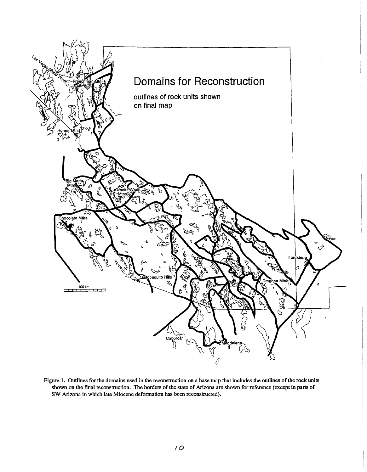

Figure 1. Outlines for the domains used in the reconstruction on a base map that includes the outlines of the rock units shown on the fmal reconstruction. The borders of the state of Arizona are shown for reference (except in parts of SW Arizona in which late Miocene deformation has been reconstructed).